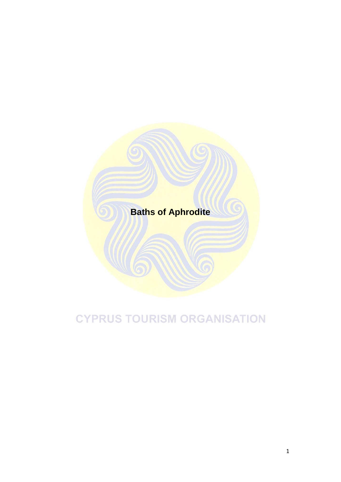

## **CYPRUS TOURISM ORGANISATION**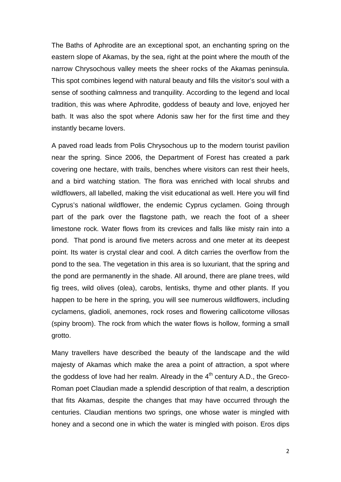The Baths of Aphrodite are an exceptional spot, an enchanting spring on the eastern slope of Akamas, by the sea, right at the point where the mouth of the narrow Chrysochous valley meets the sheer rocks of the Akamas peninsula. This spot combines legend with natural beauty and fills the visitor's soul with a sense of soothing calmness and tranquility. According to the legend and local tradition, this was where Aphrodite, goddess of beauty and love, enjoyed her bath. It was also the spot where Adonis saw her for the first time and they instantly became lovers.

A paved road leads from Polis Chrysochous up to the modern tourist pavilion near the spring. Since 2006, the Department of Forest has created a park covering one hectare, with trails, benches where visitors can rest their heels, and a bird watching station. The flora was enriched with local shrubs and wildflowers, all labelled, making the visit educational as well. Here you will find Cyprus's national wildflower, the endemic Cyprus cyclamen. Going through part of the park over the flagstone path, we reach the foot of a sheer limestone rock. Water flows from its crevices and falls like misty rain into a pond. That pond is around five meters across and one meter at its deepest point. Its water is crystal clear and cool. A ditch carries the overflow from the pond to the sea. The vegetation in this area is so luxuriant, that the spring and the pond are permanently in the shade. All around, there are plane trees, wild fig trees, wild olives (olea), carobs, lentisks, thyme and other plants. If you happen to be here in the spring, you will see numerous wildflowers, including cyclamens, gladioli, anemones, rock roses and flowering callicotome villosas (spiny broom). The rock from which the water flows is hollow, forming a small grotto.

Many travellers have described the beauty of the landscape and the wild majesty of Akamas which make the area a point of attraction, a spot where the goddess of love had her realm. Already in the  $4<sup>th</sup>$  century A.D., the Greco-Roman poet Claudian made a splendid description of that realm, a description that fits Akamas, despite the changes that may have occurred through the centuries. Claudian mentions two springs, one whose water is mingled with honey and a second one in which the water is mingled with poison. Eros dips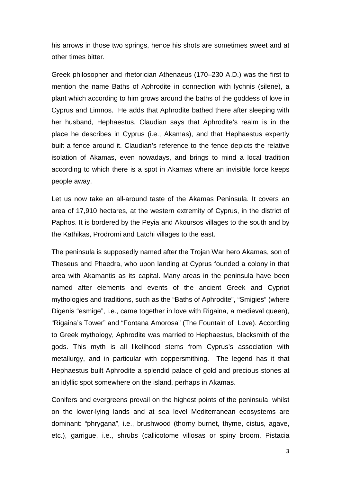his arrows in those two springs, hence his shots are sometimes sweet and at other times bitter.

Greek philosopher and rhetorician Athenaeus (170–230 A.D.) was the first to mention the name Baths of Aphrodite in connection with lychnis (silene), a plant which according to him grows around the baths of the goddess of love in Cyprus and Limnos. He adds that Aphrodite bathed there after sleeping with her husband, Hephaestus. Claudian says that Aphrodite's realm is in the place he describes in Cyprus (i.e., Akamas), and that Hephaestus expertly built a fence around it. Claudian's reference to the fence depicts the relative isolation of Akamas, even nowadays, and brings to mind a local tradition according to which there is a spot in Akamas where an invisible force keeps people away.

Let us now take an all-around taste of the Akamas Peninsula. It covers an area of 17,910 hectares, at the western extremity of Cyprus, in the district of Paphos. It is bordered by the Peyia and Akoursos villages to the south and by the Kathikas, Prodromi and Latchi villages to the east.

The peninsula is supposedly named after the Trojan War hero Akamas, son of Theseus and Phaedra, who upon landing at Cyprus founded a colony in that area with Akamantis as its capital. Many areas in the peninsula have been named after elements and events of the ancient Greek and Cypriot mythologies and traditions, such as the "Baths of Aphrodite", "Smigies" (where Digenis "esmige", i.e., came together in love with Rigaina, a medieval queen), "Rigaina's Tower" and "Fontana Amorosa" (The Fountain of Love). According to Greek mythology, Aphrodite was married to Hephaestus, blacksmith of the gods. This myth is all likelihood stems from Cyprus's association with metallurgy, and in particular with coppersmithing. The legend has it that Hephaestus built Aphrodite a splendid palace of gold and precious stones at an idyllic spot somewhere on the island, perhaps in Akamas.

Conifers and evergreens prevail on the highest points of the peninsula, whilst on the lower-lying lands and at sea level Mediterranean ecosystems are dominant: "phrygana", i.e., brushwood (thorny burnet, thyme, cistus, agave, etc.), garrigue, i.e., shrubs (callicotome villosas or spiny broom, Pistacia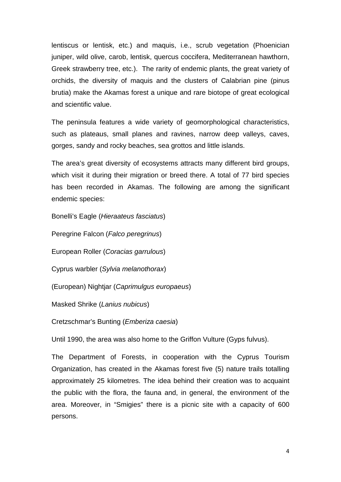lentiscus or lentisk, etc.) and maquis, i.e., scrub vegetation (Phoenician juniper, wild olive, carob, lentisk, quercus coccifera, Mediterranean hawthorn, Greek strawberry tree, etc.). The rarity of endemic plants, the great variety of orchids, the diversity of maquis and the clusters of Calabrian pine (pinus brutia) make the Akamas forest a unique and rare biotope of great ecological and scientific value.

The peninsula features a wide variety of geomorphological characteristics, such as plateaus, small planes and ravines, narrow deep valleys, caves, gorges, sandy and rocky beaches, sea grottos and little islands.

The area's great diversity of ecosystems attracts many different bird groups, which visit it during their migration or breed there. A total of 77 bird species has been recorded in Akamas. The following are among the significant endemic species:

Bonelli's Eagle (*Hieraateus fasciatus*)

Peregrine Falcon (*Falco peregrinus*)

European Roller (*Coracias garrulous*)

Cyprus warbler (*Sylvia melanothorax*)

(European) Nightjar (*Caprimulgus europaeus*)

Masked Shrike (*Lanius nubicus*)

Cretzschmar's Bunting (*Emberiza caesia*)

Until 1990, the area was also home to the Griffon Vulture (Gyps fulvus).

The Department of Forests, in cooperation with the Cyprus Tourism Organization, has created in the Akamas forest five (5) nature trails totalling approximately 25 kilometres. The idea behind their creation was to acquaint the public with the flora, the fauna and, in general, the environment of the area. Moreover, in "Smigies" there is a picnic site with a capacity of 600 persons.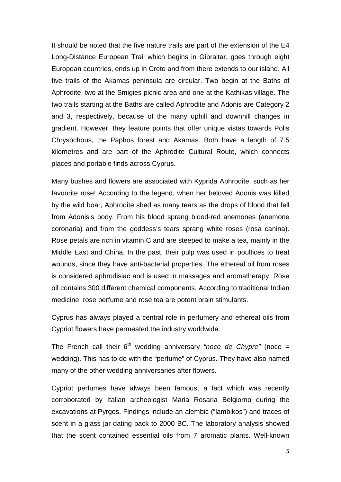It should be noted that the five nature trails are part of the extension of the E4 Long-Distance European Trail which begins in Gibraltar, goes through eight European countries, ends up in Crete and from there extends to our island. All five trails of the Akamas peninsula are circular. Two begin at the Baths of Aphrodite, two at the Smigies picnic area and one at the Kathikas village. The two trails starting at the Baths are called Aphrodite and Adonis are Category 2 and 3, respectively, because of the many uphill and downhill changes in gradient. However, they feature points that offer unique vistas towards Polis Chrysochous, the Paphos forest and Akamas. Both have a length of 7.5 kilometres and are part of the Aphrodite Cultural Route, which connects places and portable finds across Cyprus.

Many bushes and flowers are associated with Kyprida Aphrodite, such as her favourite rose! According to the legend, when her beloved Adonis was killed by the wild boar, Aphrodite shed as many tears as the drops of blood that fell from Adonis's body. From his blood sprang blood-red anemones (anemone coronaria) and from the goddess's tears sprang white roses (rosa canina). Rose petals are rich in vitamin C and are steeped to make a tea, mainly in the Middle East and China. In the past, their pulp was used in poultices to treat wounds, since they have anti-bacterial properties. The ethereal oil from roses is considered aphrodisiac and is used in massages and aromatherapy. Rose oil contains 300 different chemical components. According to traditional Indian medicine, rose perfume and rose tea are potent brain stimulants.

Cyprus has always played a central role in perfumery and ethereal oils from Cypriot flowers have permeated the industry worldwide.

The French call their  $6<sup>th</sup>$  wedding anniversary *"noce de Chypre"* (noce = wedding). This has to do with the "perfume" of Cyprus. They have also named many of the other wedding anniversaries after flowers.

Cypriot perfumes have always been famous, a fact which was recently corroborated by Italian archeologist Maria Rosaria Belgiorno during the excavations at Pyrgos. Findings include an alembic ("lambikos") and traces of scent in a glass jar dating back to 2000 BC. The laboratory analysis showed that the scent contained essential oils from 7 aromatic plants. Well-known